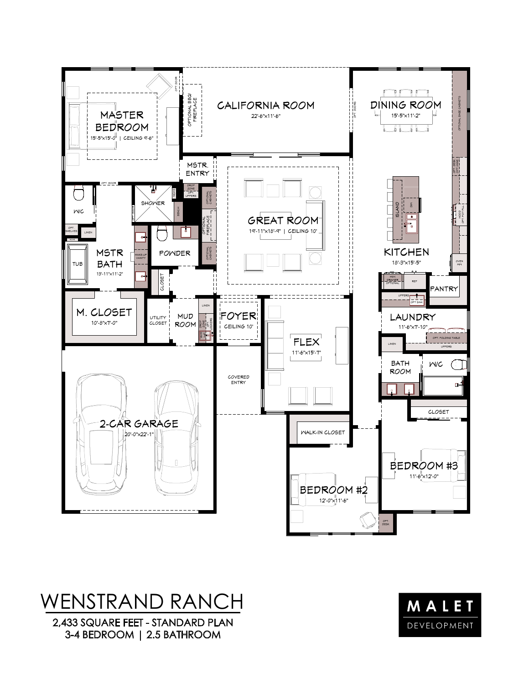

## WENSTRAND RANCH

2,433 SQUARE FEET - STANDARD PLAN 3-4 BEDROOM | 2.5 BATHROOM